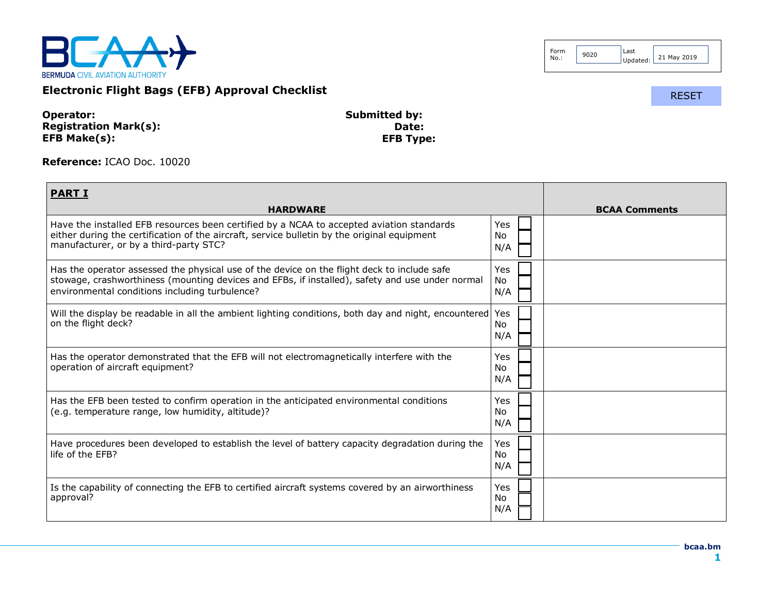

| Form<br>9020<br>No.: | Last<br>Updated: L | 21 May 2019 |
|----------------------|--------------------|-------------|
|----------------------|--------------------|-------------|

RESET

**Electronic Flight Bags (EFB) Approval Checklist**

| Operator:                    | <b>Submitted by:</b> |
|------------------------------|----------------------|
| <b>Registration Mark(s):</b> | Date:                |
| EFB Make(s):                 | <b>EFB Type:</b>     |

**Reference:** ICAO Doc. 10020

| <b>PART I</b>                                                                                                                                                                                                                                    |                         |                      |
|--------------------------------------------------------------------------------------------------------------------------------------------------------------------------------------------------------------------------------------------------|-------------------------|----------------------|
| <b>HARDWARE</b>                                                                                                                                                                                                                                  |                         | <b>BCAA Comments</b> |
| Have the installed EFB resources been certified by a NCAA to accepted aviation standards<br>either during the certification of the aircraft, service bulletin by the original equipment<br>manufacturer, or by a third-party STC?                | Yes<br>No.<br>N/A       |                      |
| Has the operator assessed the physical use of the device on the flight deck to include safe<br>stowage, crashworthiness (mounting devices and EFBs, if installed), safety and use under normal<br>environmental conditions including turbulence? | Yes<br><b>No</b><br>N/A |                      |
| Will the display be readable in all the ambient lighting conditions, both day and night, encountered Yes<br>on the flight deck?                                                                                                                  | No.<br>N/A              |                      |
| Has the operator demonstrated that the EFB will not electromagnetically interfere with the<br>operation of aircraft equipment?                                                                                                                   | Yes<br>No.<br>N/A       |                      |
| Has the EFB been tested to confirm operation in the anticipated environmental conditions<br>(e.g. temperature range, low humidity, altitude)?                                                                                                    | Yes<br>No.<br>N/A       |                      |
| Have procedures been developed to establish the level of battery capacity degradation during the<br>life of the EFB?                                                                                                                             | Yes<br>No<br>N/A        |                      |
| Is the capability of connecting the EFB to certified aircraft systems covered by an airworthiness<br>approval?                                                                                                                                   | Yes<br>No.<br>N/A       |                      |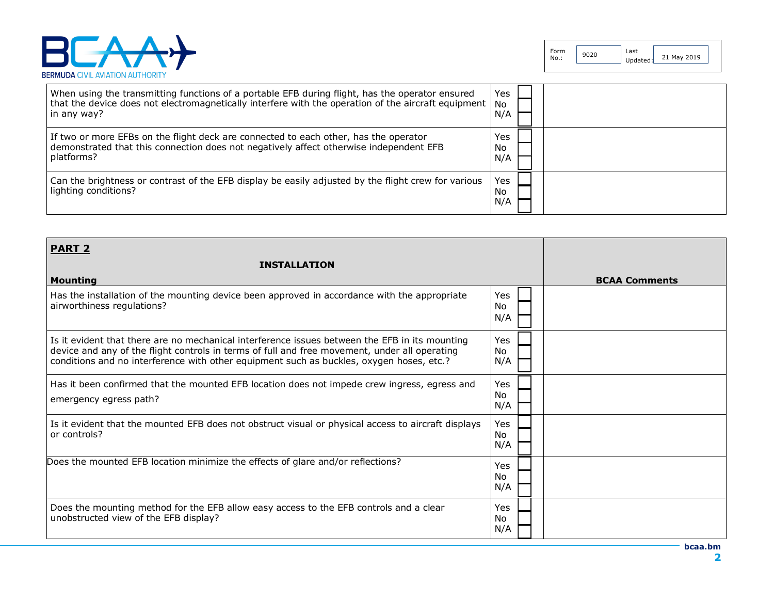

| When using the transmitting functions of a portable EFB during flight, has the operator ensured<br>that the device does not electromagnetically interfere with the operation of the aircraft equipment   No<br>in any way? | Yes<br>N/A        |
|----------------------------------------------------------------------------------------------------------------------------------------------------------------------------------------------------------------------------|-------------------|
| If two or more EFBs on the flight deck are connected to each other, has the operator<br>demonstrated that this connection does not negatively affect otherwise independent EFB<br>platforms?                               | Yes<br>No<br>N/A  |
| Can the brightness or contrast of the EFB display be easily adjusted by the flight crew for various<br>lighting conditions?                                                                                                | Yes<br>No.<br>N/A |

| <b>PART 2</b>                                                                                                                                                                                                                                                                               |                         |                      |
|---------------------------------------------------------------------------------------------------------------------------------------------------------------------------------------------------------------------------------------------------------------------------------------------|-------------------------|----------------------|
| <b>INSTALLATION</b>                                                                                                                                                                                                                                                                         |                         |                      |
| <b>Mounting</b>                                                                                                                                                                                                                                                                             |                         | <b>BCAA Comments</b> |
| Has the installation of the mounting device been approved in accordance with the appropriate<br>airworthiness regulations?                                                                                                                                                                  | Yes<br>No<br>N/A        |                      |
| Is it evident that there are no mechanical interference issues between the EFB in its mounting<br>device and any of the flight controls in terms of full and free movement, under all operating<br>conditions and no interference with other equipment such as buckles, oxygen hoses, etc.? | Yes<br>No.<br>N/A       |                      |
| Has it been confirmed that the mounted EFB location does not impede crew ingress, egress and<br>emergency egress path?                                                                                                                                                                      | Yes<br><b>No</b><br>N/A |                      |
| Is it evident that the mounted EFB does not obstruct visual or physical access to aircraft displays<br>or controls?                                                                                                                                                                         | Yes<br>No.<br>N/A       |                      |
| Does the mounted EFB location minimize the effects of glare and/or reflections?                                                                                                                                                                                                             | Yes<br>No.<br>N/A       |                      |
| Does the mounting method for the EFB allow easy access to the EFB controls and a clear<br>unobstructed view of the EFB display?                                                                                                                                                             | Yes<br>No.<br>N/A       |                      |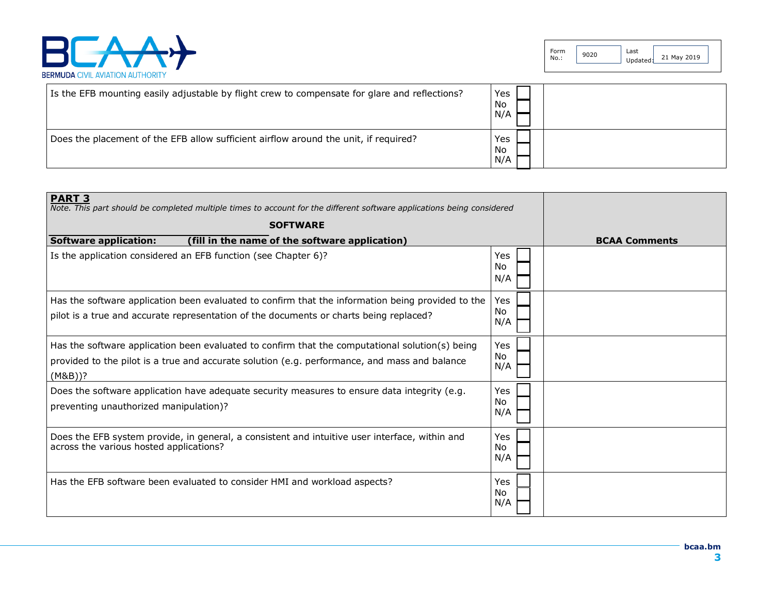

| Is the EFB mounting easily adjustable by flight crew to compensate for glare and reflections? | Yes<br>No<br>N/A |
|-----------------------------------------------------------------------------------------------|------------------|
| Does the placement of the EFB allow sufficient airflow around the unit, if required?          | Yes<br>No<br>N/A |

| <b>PART 3</b><br>Note. This part should be completed multiple times to account for the different software applications being considered                                                                     |                   |                      |
|-------------------------------------------------------------------------------------------------------------------------------------------------------------------------------------------------------------|-------------------|----------------------|
| <b>SOFTWARE</b>                                                                                                                                                                                             |                   |                      |
| (fill in the name of the software application)<br><b>Software application:</b>                                                                                                                              |                   | <b>BCAA Comments</b> |
| Is the application considered an EFB function (see Chapter 6)?                                                                                                                                              | Yes<br>No.<br>N/A |                      |
| Has the software application been evaluated to confirm that the information being provided to the<br>pilot is a true and accurate representation of the documents or charts being replaced?                 | Yes<br>No.<br>N/A |                      |
| Has the software application been evaluated to confirm that the computational solution(s) being<br>provided to the pilot is a true and accurate solution (e.g. performance, and mass and balance<br>(M&B))? | Yes<br>No.<br>N/A |                      |
| Does the software application have adequate security measures to ensure data integrity (e.g.<br>preventing unauthorized manipulation)?                                                                      | Yes<br>No.<br>N/A |                      |
| Does the EFB system provide, in general, a consistent and intuitive user interface, within and<br>across the various hosted applications?                                                                   | Yes<br>No.<br>N/A |                      |
| Has the EFB software been evaluated to consider HMI and workload aspects?                                                                                                                                   | Yes<br>No<br>N/A  |                      |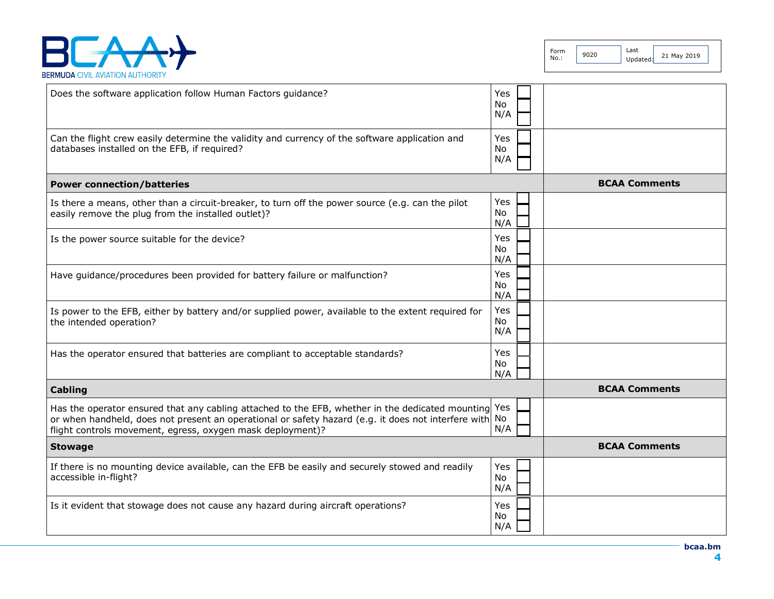

| Does the software application follow Human Factors guidance?                                                                                                                                                                                                                 | Yes<br>No.<br>N/A       |                      |
|------------------------------------------------------------------------------------------------------------------------------------------------------------------------------------------------------------------------------------------------------------------------------|-------------------------|----------------------|
| Can the flight crew easily determine the validity and currency of the software application and<br>databases installed on the EFB, if required?                                                                                                                               | Yes<br>No<br>N/A        |                      |
| <b>Power connection/batteries</b>                                                                                                                                                                                                                                            |                         | <b>BCAA Comments</b> |
| Is there a means, other than a circuit-breaker, to turn off the power source (e.g. can the pilot<br>easily remove the plug from the installed outlet)?                                                                                                                       | Yes<br><b>No</b><br>N/A |                      |
| Is the power source suitable for the device?                                                                                                                                                                                                                                 | Yes<br>No.<br>N/A       |                      |
| Have guidance/procedures been provided for battery failure or malfunction?                                                                                                                                                                                                   | Yes<br>No.<br>N/A       |                      |
| Is power to the EFB, either by battery and/or supplied power, available to the extent required for<br>the intended operation?                                                                                                                                                | Yes<br>No.<br>N/A       |                      |
| Has the operator ensured that batteries are compliant to acceptable standards?                                                                                                                                                                                               | Yes<br>No<br>N/A        |                      |
| Cabling                                                                                                                                                                                                                                                                      |                         | <b>BCAA Comments</b> |
| Has the operator ensured that any cabling attached to the EFB, whether in the dedicated mounting Yes<br>or when handheld, does not present an operational or safety hazard (e.g. it does not interfere with No<br>flight controls movement, egress, oxygen mask deployment)? | N/A                     |                      |
| <b>Stowage</b>                                                                                                                                                                                                                                                               |                         | <b>BCAA Comments</b> |
| If there is no mounting device available, can the EFB be easily and securely stowed and readily<br>accessible in-flight?                                                                                                                                                     | Yes<br>No.<br>N/A       |                      |
| Is it evident that stowage does not cause any hazard during aircraft operations?                                                                                                                                                                                             | Yes<br>No.<br>N/A       |                      |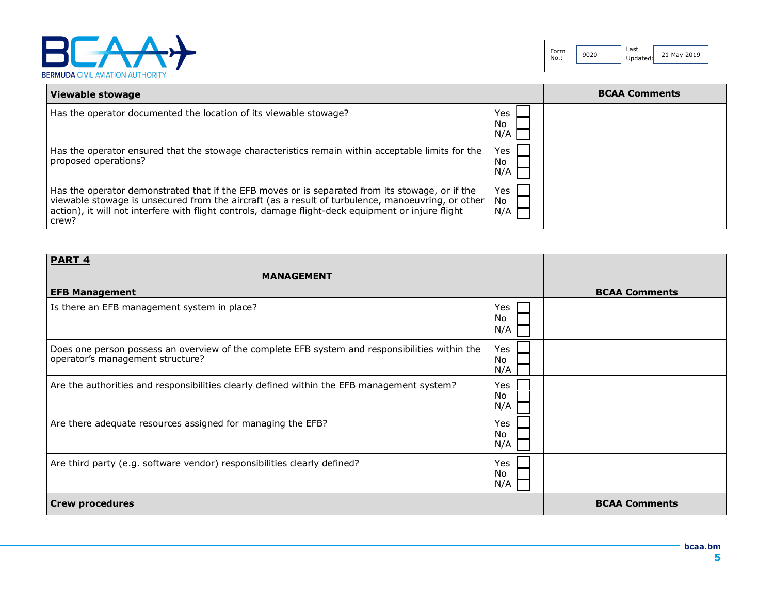

| Viewable stowage                                                                                                                                                                                                                                                                                                    |                  | <b>BCAA Comments</b> |
|---------------------------------------------------------------------------------------------------------------------------------------------------------------------------------------------------------------------------------------------------------------------------------------------------------------------|------------------|----------------------|
| Has the operator documented the location of its viewable stowage?                                                                                                                                                                                                                                                   | Yes<br>No<br>N/A |                      |
| Has the operator ensured that the stowage characteristics remain within acceptable limits for the<br>proposed operations?                                                                                                                                                                                           | Yes<br>No<br>N/A |                      |
| Has the operator demonstrated that if the EFB moves or is separated from its stowage, or if the<br>viewable stowage is unsecured from the aircraft (as a result of turbulence, manoeuvring, or other<br>action), it will not interfere with flight controls, damage flight-deck equipment or injure flight<br>crew? | Yes<br>No<br>N/A |                      |

| <b>PART 4</b>                                                                                                                      |                   |                      |
|------------------------------------------------------------------------------------------------------------------------------------|-------------------|----------------------|
| <b>MANAGEMENT</b>                                                                                                                  |                   |                      |
| <b>EFB Management</b>                                                                                                              |                   | <b>BCAA Comments</b> |
| Is there an EFB management system in place?                                                                                        | Yes<br>No.<br>N/A |                      |
| Does one person possess an overview of the complete EFB system and responsibilities within the<br>operator's management structure? | Yes<br>No.<br>N/A |                      |
| Are the authorities and responsibilities clearly defined within the EFB management system?                                         | Yes<br>No<br>N/A  |                      |
| Are there adequate resources assigned for managing the EFB?                                                                        | Yes<br>No<br>N/A  |                      |
| Are third party (e.g. software vendor) responsibilities clearly defined?                                                           | Yes<br>No<br>N/A  |                      |
| <b>Crew procedures</b>                                                                                                             |                   | <b>BCAA Comments</b> |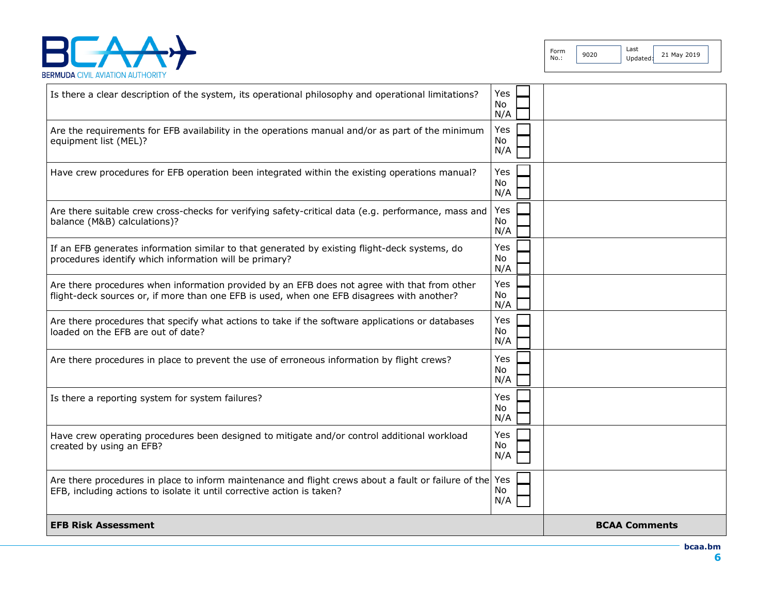

| <b>EFB Risk Assessment</b>                                                                                                                                                                 |                         | <b>BCAA Comments</b> |
|--------------------------------------------------------------------------------------------------------------------------------------------------------------------------------------------|-------------------------|----------------------|
| Are there procedures in place to inform maintenance and flight crews about a fault or failure of the<br>EFB, including actions to isolate it until corrective action is taken?             | Yes<br><b>No</b><br>N/A |                      |
| Have crew operating procedures been designed to mitigate and/or control additional workload<br>created by using an EFB?                                                                    | Yes<br>No<br>N/A        |                      |
| Is there a reporting system for system failures?                                                                                                                                           | Yes<br><b>No</b><br>N/A |                      |
| Are there procedures in place to prevent the use of erroneous information by flight crews?                                                                                                 | Yes<br>No.<br>N/A       |                      |
| Are there procedures that specify what actions to take if the software applications or databases<br>loaded on the EFB are out of date?                                                     | Yes<br>No.<br>N/A       |                      |
| Are there procedures when information provided by an EFB does not agree with that from other<br>flight-deck sources or, if more than one EFB is used, when one EFB disagrees with another? | Yes<br><b>No</b><br>N/A |                      |
| If an EFB generates information similar to that generated by existing flight-deck systems, do<br>procedures identify which information will be primary?                                    | Yes<br>No.<br>N/A       |                      |
| Are there suitable crew cross-checks for verifying safety-critical data (e.g. performance, mass and<br>balance (M&B) calculations)?                                                        | Yes<br><b>No</b><br>N/A |                      |
| Have crew procedures for EFB operation been integrated within the existing operations manual?                                                                                              | Yes<br>No<br>N/A        |                      |
| Are the requirements for EFB availability in the operations manual and/or as part of the minimum<br>equipment list (MEL)?                                                                  | Yes<br>No.<br>N/A       |                      |
| Is there a clear description of the system, its operational philosophy and operational limitations?                                                                                        | Yes<br>No.<br>N/A       |                      |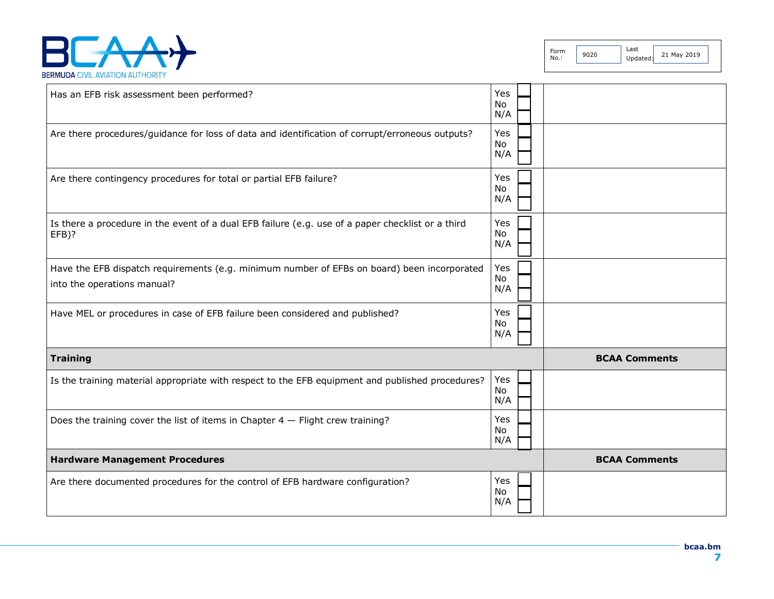

Form Form 9020 Last

Updated:  $21$  May 2019

| Has an EFB risk assessment been performed?                                                                                 | Yes<br>No<br>N/A        |                      |
|----------------------------------------------------------------------------------------------------------------------------|-------------------------|----------------------|
| Are there procedures/guidance for loss of data and identification of corrupt/erroneous outputs?                            | Yes<br>No<br>N/A        |                      |
| Are there contingency procedures for total or partial EFB failure?                                                         | Yes<br>No<br>N/A        |                      |
| Is there a procedure in the event of a dual EFB failure (e.g. use of a paper checklist or a third<br>EFB)?                 | Yes<br>No<br>N/A        |                      |
| Have the EFB dispatch requirements (e.g. minimum number of EFBs on board) been incorporated<br>into the operations manual? | Yes<br>No<br>N/A        |                      |
| Have MEL or procedures in case of EFB failure been considered and published?                                               | Yes<br>No<br>N/A        |                      |
| <b>Training</b>                                                                                                            |                         | <b>BCAA Comments</b> |
| Is the training material appropriate with respect to the EFB equipment and published procedures?                           | Yes<br>No<br>N/A        |                      |
| Does the training cover the list of items in Chapter $4$ - Flight crew training?                                           | Yes<br>No<br>N/A        |                      |
| <b>Hardware Management Procedures</b>                                                                                      |                         | <b>BCAA Comments</b> |
| Are there documented procedures for the control of EFB hardware configuration?                                             | Yes<br><b>No</b><br>N/A |                      |